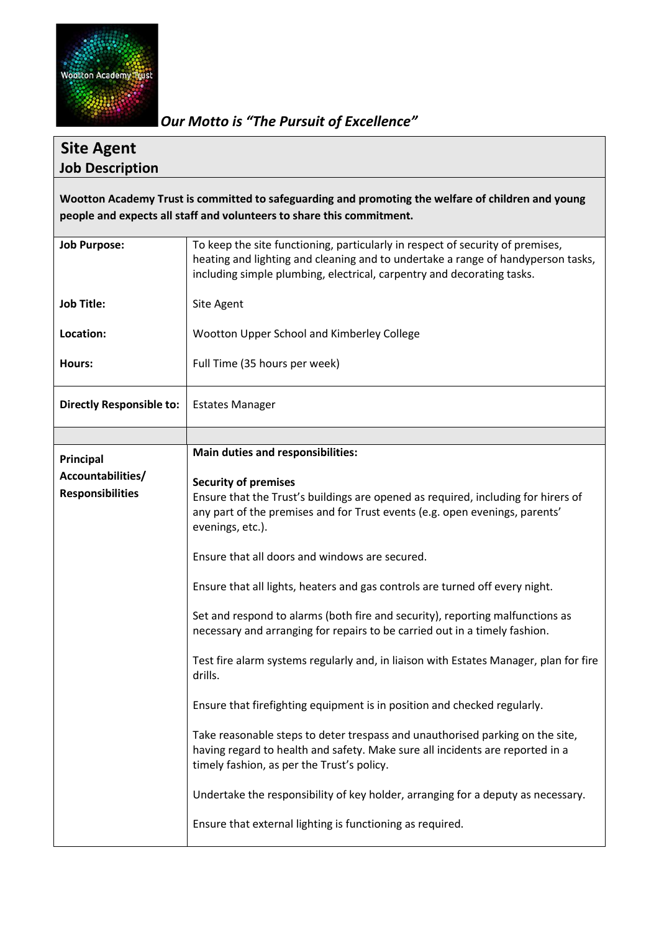

*Our Motto is "The Pursuit of Excellence"*

## **Site Agent Job Description**

**Wootton Academy Trust is committed to safeguarding and promoting the welfare of children and young people and expects all staff and volunteers to share this commitment.**

| <b>Job Purpose:</b>             | To keep the site functioning, particularly in respect of security of premises,<br>heating and lighting and cleaning and to undertake a range of handyperson tasks,<br>including simple plumbing, electrical, carpentry and decorating tasks. |
|---------------------------------|----------------------------------------------------------------------------------------------------------------------------------------------------------------------------------------------------------------------------------------------|
| <b>Job Title:</b>               | Site Agent                                                                                                                                                                                                                                   |
| Location:                       | Wootton Upper School and Kimberley College                                                                                                                                                                                                   |
| Hours:                          | Full Time (35 hours per week)                                                                                                                                                                                                                |
| <b>Directly Responsible to:</b> | <b>Estates Manager</b>                                                                                                                                                                                                                       |
|                                 |                                                                                                                                                                                                                                              |
| Principal                       | <b>Main duties and responsibilities:</b>                                                                                                                                                                                                     |
| Accountabilities/               | <b>Security of premises</b>                                                                                                                                                                                                                  |
| <b>Responsibilities</b>         | Ensure that the Trust's buildings are opened as required, including for hirers of                                                                                                                                                            |
|                                 | any part of the premises and for Trust events (e.g. open evenings, parents'<br>evenings, etc.).                                                                                                                                              |
|                                 | Ensure that all doors and windows are secured.                                                                                                                                                                                               |
|                                 | Ensure that all lights, heaters and gas controls are turned off every night.                                                                                                                                                                 |
|                                 | Set and respond to alarms (both fire and security), reporting malfunctions as<br>necessary and arranging for repairs to be carried out in a timely fashion.                                                                                  |
|                                 | Test fire alarm systems regularly and, in liaison with Estates Manager, plan for fire<br>drills.                                                                                                                                             |
|                                 | Ensure that firefighting equipment is in position and checked regularly.                                                                                                                                                                     |
|                                 | Take reasonable steps to deter trespass and unauthorised parking on the site,<br>having regard to health and safety. Make sure all incidents are reported in a<br>timely fashion, as per the Trust's policy.                                 |
|                                 | Undertake the responsibility of key holder, arranging for a deputy as necessary.                                                                                                                                                             |
|                                 | Ensure that external lighting is functioning as required.                                                                                                                                                                                    |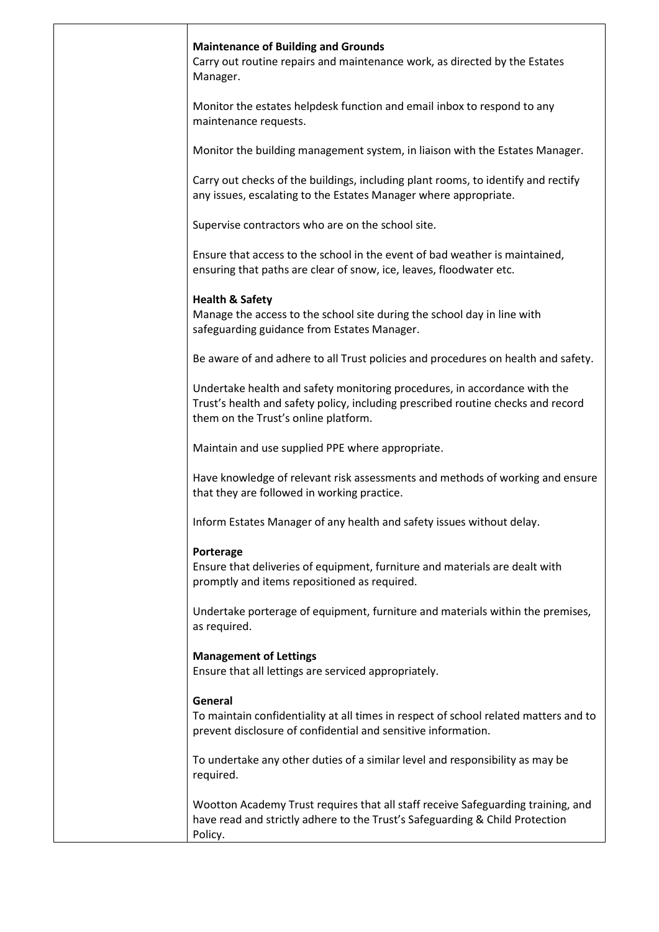| <b>Maintenance of Building and Grounds</b><br>Carry out routine repairs and maintenance work, as directed by the Estates<br>Manager.                                                                  |
|-------------------------------------------------------------------------------------------------------------------------------------------------------------------------------------------------------|
| Monitor the estates helpdesk function and email inbox to respond to any<br>maintenance requests.                                                                                                      |
| Monitor the building management system, in liaison with the Estates Manager.                                                                                                                          |
| Carry out checks of the buildings, including plant rooms, to identify and rectify<br>any issues, escalating to the Estates Manager where appropriate.                                                 |
| Supervise contractors who are on the school site.                                                                                                                                                     |
| Ensure that access to the school in the event of bad weather is maintained,<br>ensuring that paths are clear of snow, ice, leaves, floodwater etc.                                                    |
| <b>Health &amp; Safety</b><br>Manage the access to the school site during the school day in line with<br>safeguarding guidance from Estates Manager.                                                  |
| Be aware of and adhere to all Trust policies and procedures on health and safety.                                                                                                                     |
| Undertake health and safety monitoring procedures, in accordance with the<br>Trust's health and safety policy, including prescribed routine checks and record<br>them on the Trust's online platform. |
| Maintain and use supplied PPE where appropriate.                                                                                                                                                      |
| Have knowledge of relevant risk assessments and methods of working and ensure<br>that they are followed in working practice.                                                                          |
| Inform Estates Manager of any health and safety issues without delay.                                                                                                                                 |
| Porterage<br>Ensure that deliveries of equipment, furniture and materials are dealt with<br>promptly and items repositioned as required.                                                              |
| Undertake porterage of equipment, furniture and materials within the premises,<br>as required.                                                                                                        |
| <b>Management of Lettings</b><br>Ensure that all lettings are serviced appropriately.                                                                                                                 |
| General<br>To maintain confidentiality at all times in respect of school related matters and to<br>prevent disclosure of confidential and sensitive information.                                      |
| To undertake any other duties of a similar level and responsibility as may be<br>required.                                                                                                            |
| Wootton Academy Trust requires that all staff receive Safeguarding training, and<br>have read and strictly adhere to the Trust's Safeguarding & Child Protection<br>Policy.                           |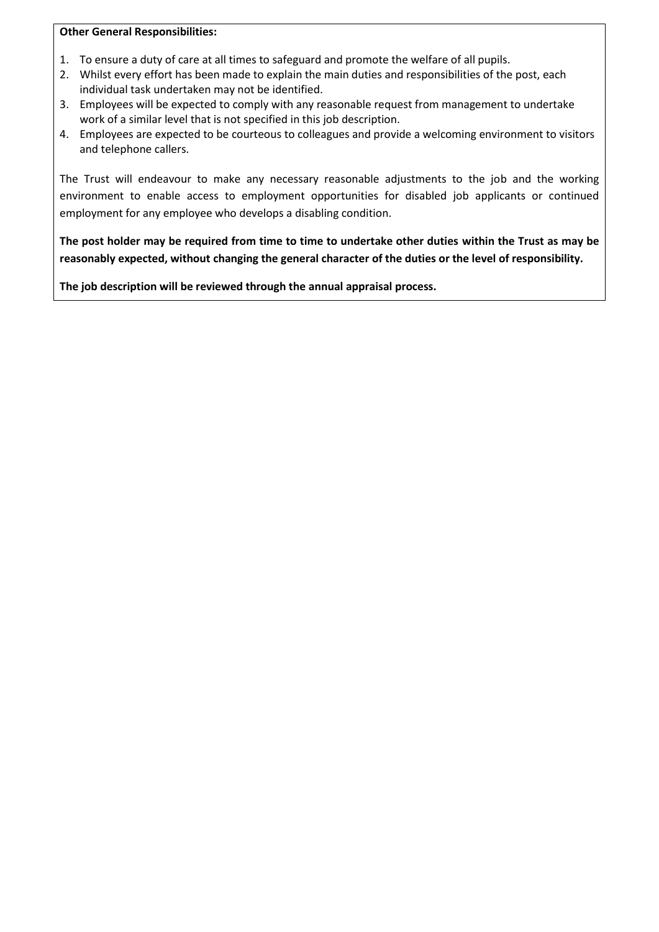## **Other General Responsibilities:**

- 1. To ensure a duty of care at all times to safeguard and promote the welfare of all pupils.
- 2. Whilst every effort has been made to explain the main duties and responsibilities of the post, each individual task undertaken may not be identified.
- 3. Employees will be expected to comply with any reasonable request from management to undertake work of a similar level that is not specified in this job description.
- 4. Employees are expected to be courteous to colleagues and provide a welcoming environment to visitors and telephone callers.

The Trust will endeavour to make any necessary reasonable adjustments to the job and the working environment to enable access to employment opportunities for disabled job applicants or continued employment for any employee who develops a disabling condition.

**The post holder may be required from time to time to undertake other duties within the Trust as may be reasonably expected, without changing the general character of the duties or the level of responsibility.**

**The job description will be reviewed through the annual appraisal process.**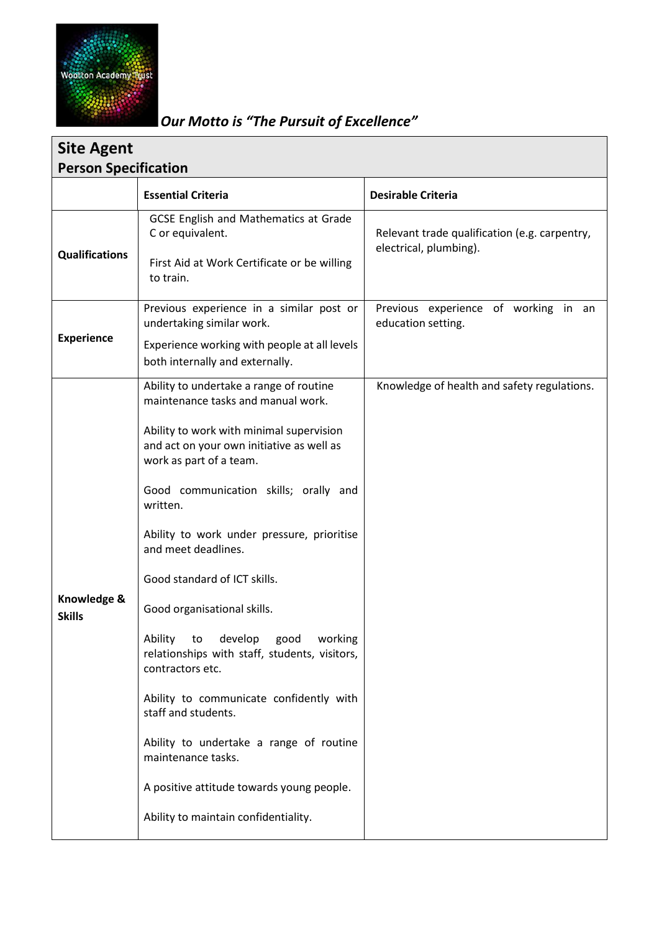

## *Our Motto is "The Pursuit of Excellence"*

| <b>Site Agent</b>            |                                                                                                                                                                                                                                                                                                                                                                                                                                                                                                                                                                                                                                                   |                                                                         |  |  |
|------------------------------|---------------------------------------------------------------------------------------------------------------------------------------------------------------------------------------------------------------------------------------------------------------------------------------------------------------------------------------------------------------------------------------------------------------------------------------------------------------------------------------------------------------------------------------------------------------------------------------------------------------------------------------------------|-------------------------------------------------------------------------|--|--|
| <b>Person Specification</b>  |                                                                                                                                                                                                                                                                                                                                                                                                                                                                                                                                                                                                                                                   |                                                                         |  |  |
|                              | <b>Essential Criteria</b>                                                                                                                                                                                                                                                                                                                                                                                                                                                                                                                                                                                                                         | <b>Desirable Criteria</b>                                               |  |  |
| <b>Qualifications</b>        | <b>GCSE English and Mathematics at Grade</b><br>C or equivalent.<br>First Aid at Work Certificate or be willing<br>to train.                                                                                                                                                                                                                                                                                                                                                                                                                                                                                                                      | Relevant trade qualification (e.g. carpentry,<br>electrical, plumbing). |  |  |
| <b>Experience</b>            | Previous experience in a similar post or<br>undertaking similar work.                                                                                                                                                                                                                                                                                                                                                                                                                                                                                                                                                                             | Previous experience of working in an<br>education setting.              |  |  |
|                              | Experience working with people at all levels<br>both internally and externally.                                                                                                                                                                                                                                                                                                                                                                                                                                                                                                                                                                   |                                                                         |  |  |
| Knowledge &<br><b>Skills</b> | Ability to undertake a range of routine<br>maintenance tasks and manual work.<br>Ability to work with minimal supervision<br>and act on your own initiative as well as<br>work as part of a team.<br>Good communication skills; orally and<br>written.<br>Ability to work under pressure, prioritise<br>and meet deadlines.<br>Good standard of ICT skills.<br>Good organisational skills.<br>Ability<br>to<br>develop<br>good<br>working<br>relationships with staff, students, visitors,<br>contractors etc.<br>Ability to communicate confidently with<br>staff and students.<br>Ability to undertake a range of routine<br>maintenance tasks. | Knowledge of health and safety regulations.                             |  |  |
|                              | A positive attitude towards young people.<br>Ability to maintain confidentiality.                                                                                                                                                                                                                                                                                                                                                                                                                                                                                                                                                                 |                                                                         |  |  |